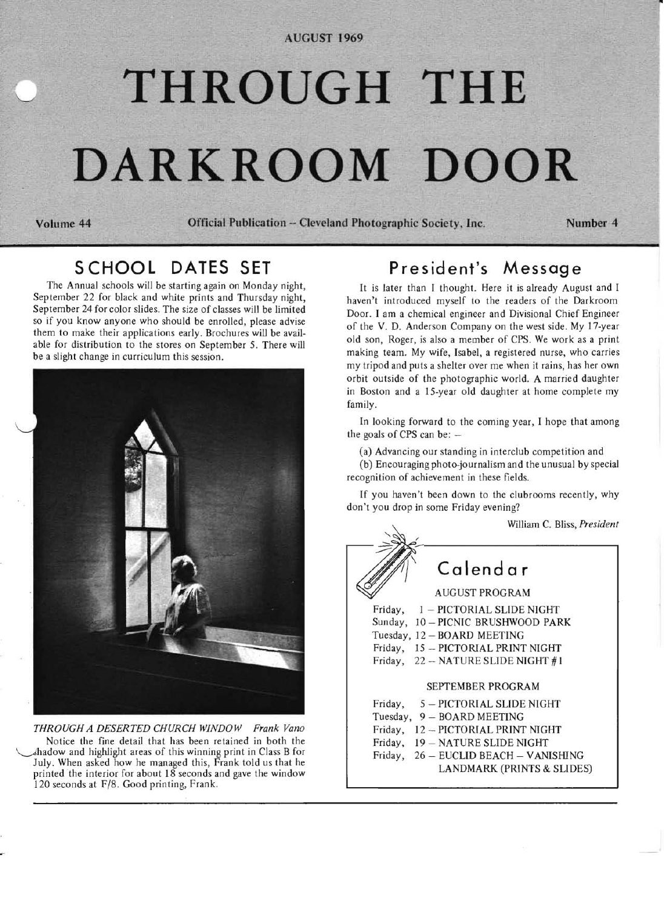#### **AUGUST 1969**

# **THROUGH THE DARKROOM DOOR**

**Volume 44** 'Official **Publication - Cleveland** Photographic Society, **Inc. Number 4** 

## **SCHOOL DATES SET**

The Annual schools will be starting again on Monday night, September 22 for black and white prints and Thursday night, September 24 for color slides. The size of classes will be limited so if you know anyone who should be enrolled, please advise them to make their applications early. Brochures will be available for distribution to the stores on September 5. There will be a slight change in curriculum this session.



*THROUGH A DESERTED CHURCH WINDOW Frank Vano*  Notice the fine detail that has been retained in both the ~hadow and highlight areas of this winning print in Class B for July. When asked how he managed this, Frank told us that he printed the interior for about 18 seconds and gave the window 120 seconds at F/8. Good printing, Frank.

## **President's Message**

It is later than I thought. Here it is already August and I haven't introduced myself to the readers of the Darkroom Door. I am a chemical engineer and Divisional Chief Engineer of the V. D. Anderson Company on the west side. My 17-year old son, Roger, is also a member of CPS. We work as a print making team. My wife, Isabel, a registered nurse, who carries my tripod and puts a shelter over me when it rains, has her own orbit outside of the photographic world. A married daughter in Boston and a IS-year old daughter at home complete my family.

In looking forward to the coming year, I hope that among the goals of CPS can be:  $-$ 

(a) Advancing our standing in interclub competition and

(b) Encouraging photo-journalism and the unusual by special recognition of achievement in these fields.

If you haven't been down to the clubrooms recently, why don't you drop in some Friday evening?

William C. Bliss, *President* 

**Calendar**  AUGUST PROGRAM Friday,  $1 -$  PICTORIAL SLIDE NIGHT Sunday, 10 - PICNIC BRUSHWOOD PARK Tuesday, 12 - BOARD MEETING Friday, 15 - PICTORIAL PRINT NIGHT Friday, 22 - NATURE SLIDE NIGHT #1 SEPTEMBER PROGRAM Friday,  $5 - PICTORIAL SLIDE NIGHT$ Tuesday, 9 - BOARD MEETING Friday,  $12 - PICTORIAL PRINT NIGHT$ Friday, 19 - NATURE SLIDE NIGHT Friday, 26 - EUCLID BEACH - VANISHING LANDMARK (PRINTS & SLIDES)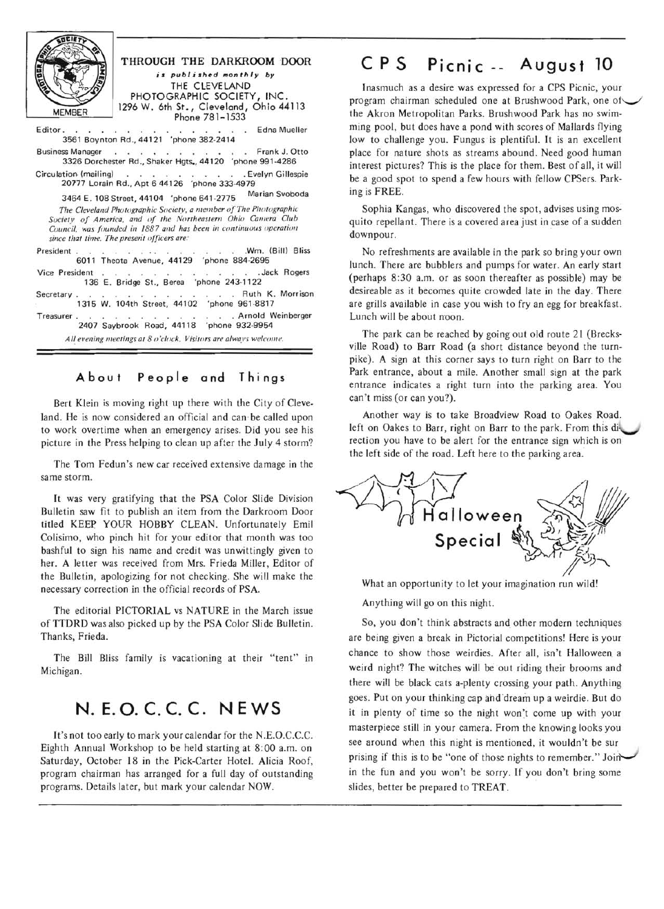| <b>MEMBER</b>         | THROUGH THE DARKROOM DOOR<br>is published monthly by<br>THE CLEVELAND<br>PHOTOGRAPHIC SOCIETY, INC.<br>1296 W. 6th St., Cleveland, Ohio 44113<br>Phone 781-1533                                                                                     |
|-----------------------|-----------------------------------------------------------------------------------------------------------------------------------------------------------------------------------------------------------------------------------------------------|
| Editor.               | . Edna Mueller<br>3561 Boynton Rd., 44121 'phone 382-2414                                                                                                                                                                                           |
|                       | Business Manager Frank J. Otto<br>3326 Dorchester Rd., Shaker Hgts., 44120 'phone 991-4286                                                                                                                                                          |
| Circulation (mailing) | . Evelyn Gillespie<br>20777 Lorain Rd., Apt 6 44126 'phone 333-4979                                                                                                                                                                                 |
|                       | Marian Svoboda<br>3464 E. 108 Street, 44104 'phone 641-2775                                                                                                                                                                                         |
|                       | The Cleveland Photographic Society, a member of The Photographic<br>Society of America, and of the Northeastern Ohio Camera Club<br>Council, was founded in 1887 and has been in continuous operation<br>since that time. The present officers are: |
|                       | President Wm. (Bill) Bliss<br>6011 Theota Avenue, 44129 'phone 884-2695                                                                                                                                                                             |
|                       | Vice President Jack Rogers<br>136 E. Bridge St., Berea 'phone 243-1122                                                                                                                                                                              |
|                       | Secretary Ruth K. Morrison<br>1315 W. 104th Street, 44102 'phone 961-8817                                                                                                                                                                           |
| Treasurer.            | . Arnold Weinberger<br>2407 Saybrook Road, 44118 'phone 932-9954                                                                                                                                                                                    |
|                       | All evening meetings at 8 o'clock. Visitors are always welcome.                                                                                                                                                                                     |
|                       |                                                                                                                                                                                                                                                     |

# **A bou t People and Things**

Bert Klein is moving right up there with the City of Cleveland. He is now considered an official and can be called upon to work overtime when an emergency arises. Did you see his picture in the Press helping to clean up after the July 4 storm?

The Tom Fedun's new car received extensive damage in the same storm.

It was very gratifying that the PSA Color Slide Division Bulletin saw fit to publish an item from the Darkroom Door titled KEEP YOUR HOBBY CLEAN. Unfortunately Emil Colisimo, who pinch hit for your editor that month was too bashful to sign his name and credit was unwittingly given to her. A Jetter was received from Mrs. Frieda Miller, Editor of the Bulletin, apologizing for not checking. She will make the necessary correction in the official records of PSA.

The editorial PICTORIAL vs NATURE in the March issue of TTDRD was also picked up by the PSA Color Slide Bulletin. Thanks, Frieda.

The Bill Bliss family is vacationing at their "tent" in Michigan.

# **N.E.O.C.C.C. NEWS**

It's not too early to mark your calendar for the N.E.O.C.C.C. Eighth Annual Workshop to be held starting at 8:00 a.m. on Saturday, October 18 in the Pick-Carter Hotel. Alicia Roof, program chairman has arranged for a full day of outstanding programs. Details later, but mark your calendar NOW.

# **CPS Picnic -- Augus1 10**

Inasmuch as a desire was expressed for a CPS Picnic, your program chairman scheduled one at Brushwood Park, one of the Akron Metropolitan Parks. Brushwood Park has no swimming pool, but does have a pond with scores of Mallards flying low to challenge you. Fungus is plentiful. It is an excellent place for nature shots as streams abound. Need good human interest pictures? This is the place for them. Best of all, it will be a good spot to spend a few hours with fellow CPSers. Parking is FREE.

Sophia Kangas, who discovered the spot, advises using mosquito repellant. There is a covered area just in case of a sudden downpour.

No refreshments are available in the park so bring your own lunch. There are bubblers and pumps for water. An early start (perhaps 8:30 a.m. or as soon thereafter as possible) may be desireable as it becomes quite crowded late in the day. There are grills available in case you wish to fry an egg for breakfast. Lunch will be about noon.

The park can be reached by going out old route 21 (Brecksville Road) to Barr Road (a short distance beyond the turnpike). A sign at this corner says to turn right on Barr to the Park entrance, about a mile. Another small sign at the park entrance indicates a right turn into the parking area. You can't miss (or can you?).

Another way is to take Broadview Road to Oakes Road. left on Oakes to Barr, right on Barr to the park. From this di rection you have to be alert for the entrance sign which is on the left side of the road. Left here to the parking area.



What an opportunity to let your imagination run wild' Anything will go on this night.

So, you don't think abstracts and other modern techniques are being given a break in Pictorial competitions' Here is your chance to show those weirdies. After all, isn't Halloween a weird night? The witches will be out riding their brooms and there will be black cats a-plenty crossing your path. Anything goes. Put on your thinking cap and dream up a weirdie. But do it in plenty of time so the night won't come up with your masterpiece still in your camera. From the knowing looks you see around when this night is mentioned, it wouldn't be sur prising if this is to be "one of those nights to remember." Joinin the fun and you won't be sorry. If you don 't bring some slides, better be prepared to TREAT.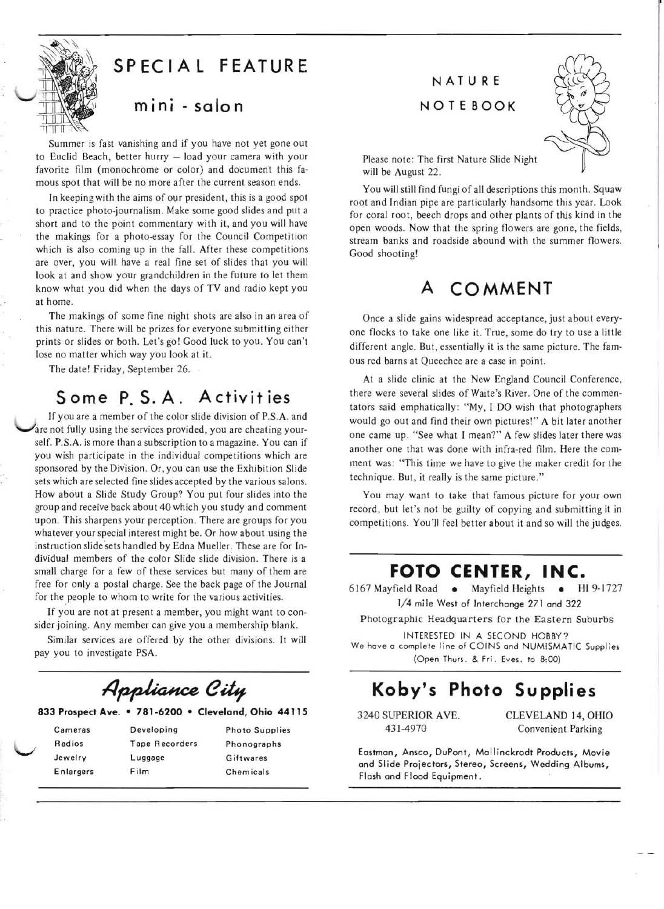

# **SPECIAL FEATURE**

## **mini - solo n**

Summer is fast vanishing and if you have not yet gone out to Euclid Beach, better hurry - load your camera with your favorite film (monochrome or color) and document this famous spot that will be no more after the current season ends.

In keeping with the aims of our president, this is a good spot to practice photo-journalism. Make some good slides and put a short and to the point commentary with it, and you will have the makings for a photo-essay for the Council Competition which is also coming up in the fall. After these competitions are over, you will have a real fine set of slides that you will look at and show your grandchildren in the future to let them know what you did when the days of TV and radio kept you at home.

The makings of some fine night shots are also in an area of this nature. There will be prizes for everyone submitting either prints or slides or both. Let's go! Good luck to you. You can't lose no matter which way you look at it.

The date! Friday, September 26.

# **Some P. S. A. Activit ies**

If you are a member of the color slide division of P.S.A. and are not fully using the services provided, you are cheating yourself. P.S.A. is more than a subscription to a magazine . You can if you wish participate in the individual competitions which are sponsored by the Division. Or, you can use the Exhibition Slide sets which are selected fine slides accepted by the various salons. How about a Slide Study Group? You put four slides into the group and receive back about 40 which you study and comment upon. This sharpens your perception. There are groups for you whatever your special interest might be. Or how about using the instruction slide sets handled by Edna Mueller. These are for Individual members of the color Slide slide division. There is a small charge for a few of these services but many of them are free for only a postal charge. See the back page of the Journal for the people to whom to write for the various activities.

If you are not at present a member, you might want to consider joining. Any member can give you a membership blank.

Similar services are offered by the other divisions. It will pay you to investigate PSA.

# Appliance City

#### **833 ProspeCt Ave. • 781-6200 • Cleveland, Ohio 44115**

| Cameras   | Developing            | <b>Photo Supplies</b> |
|-----------|-----------------------|-----------------------|
| Radios    | <b>Tape Recorders</b> | Phonographs           |
| Jewelry   | Luggage               | Giftwares             |
| Enlargers | Film                  | Chemicals             |

# **NATURE**

#### **NOTEBOOK**



Please note: The first Nature Slide Night will be August 22.

You will still find fungi of all descriptions this month. Squaw root and Indian pipe are particularly handsome this year. Look for coral root, beech drops and other plants of this kind in the open woods. Now that the spring flowers are gone, the fields, stream banks and roadside abound with the summer flowers. Good shooting!

# **A COMMENT**

Once a slide gains widespread acceptance, just about everyone flocks to take one like it. True, some do try to use a little different angle. But, essentially it is the same picture. The famous red barns at Queechee are a case in point.

At a slide clinic at the New England Council Conference, there were several slides of Waite's River. One of the commentators said emphatically: "My, I DO wish that photographers would go out and find their own pictures!" A bit later another one came up. "See what I mean?" A few slides later there was another one that was done with infra-red film. Here the comment was: 'This time we have to give the maker credit for the technique. But, it really is the same picture."

You may want to take that famous picture for your own record, but let's not be guilty of copying and submitting it in competitions. You'Jl feel better about it and so will the judges.

### **FOTO CENTER, INC.**

6167 Mayfield Road • Mayfield Heights • HI 9-1727 1/4 mile West of Interchange 271 and 322

Photographic Headquarters for the Eastern Suburbs

INTERESTED IN A SECOND HOBBY? We have a complete line of COINS and NUMISMATIC Supplies (Open Thurs. & Fri. Eves. to 8:00)

# **Koby's Photo Supplies**

3240 SUPERIOR AVE. CLEVELAND 14, OHIO 431-4970 Convenient Parking

Eastman, Ansco, DuPont, Mall inckrodt Products, Movie and Slide Projectors, Stereo, Screens, Wedding Albums, Flash and Flood Equipment .